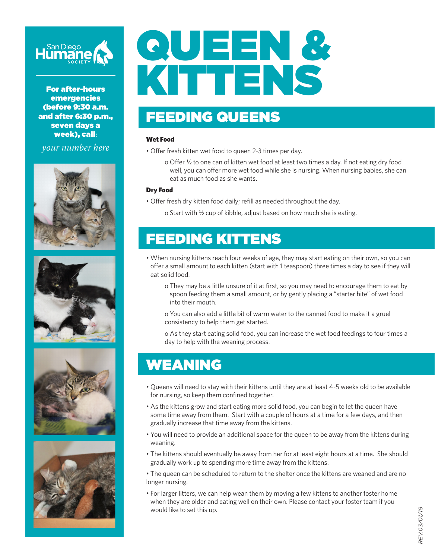

For after-hours emergencies (before 9:30 a.m. and after 6:30 p.m., seven days a week), call**:**

*your number here*









# QUEEN & KITTENS

## FEEDING QUEENS

#### Wet Food

- Offer fresh kitten wet food to queen 2-3 times per day.
	- o Offer ½ to one can of kitten wet food at least two times a day. If not eating dry food well, you can offer more wet food while she is nursing. When nursing babies, she can eat as much food as she wants.

#### Dry Food

- Offer fresh dry kitten food daily; refill as needed throughout the day.
	- o Start with ½ cup of kibble, adjust based on how much she is eating.

#### FEEDING KITTENS

- When nursing kittens reach four weeks of age, they may start eating on their own, so you can offer a small amount to each kitten (start with 1 teaspoon) three times a day to see if they will eat solid food.
	- o They may be a little unsure of it at first, so you may need to encourage them to eat by spoon feeding them a small amount, or by gently placing a "starter bite" of wet food into their mouth.
	- o You can also add a little bit of warm water to the canned food to make it a gruel consistency to help them get started.
	- o As they start eating solid food, you can increase the wet food feedings to four times a day to help with the weaning process.

## WEANING

- Queens will need to stay with their kittens until they are at least 4-5 weeks old to be available for nursing, so keep them confined together.
- As the kittens grow and start eating more solid food, you can begin to let the queen have some time away from them. Start with a couple of hours at a time for a few days, and then gradually increase that time away from the kittens.
- You will need to provide an additional space for the queen to be away from the kittens during weaning.
- The kittens should eventually be away from her for at least eight hours at a time. She should gradually work up to spending more time away from the kittens.
- The queen can be scheduled to return to the shelter once the kittens are weaned and are no longer nursing.
- For larger litters, we can help wean them by moving a few kittens to another foster home when they are older and eating well on their own. Please contact your foster team if you would like to set this up.